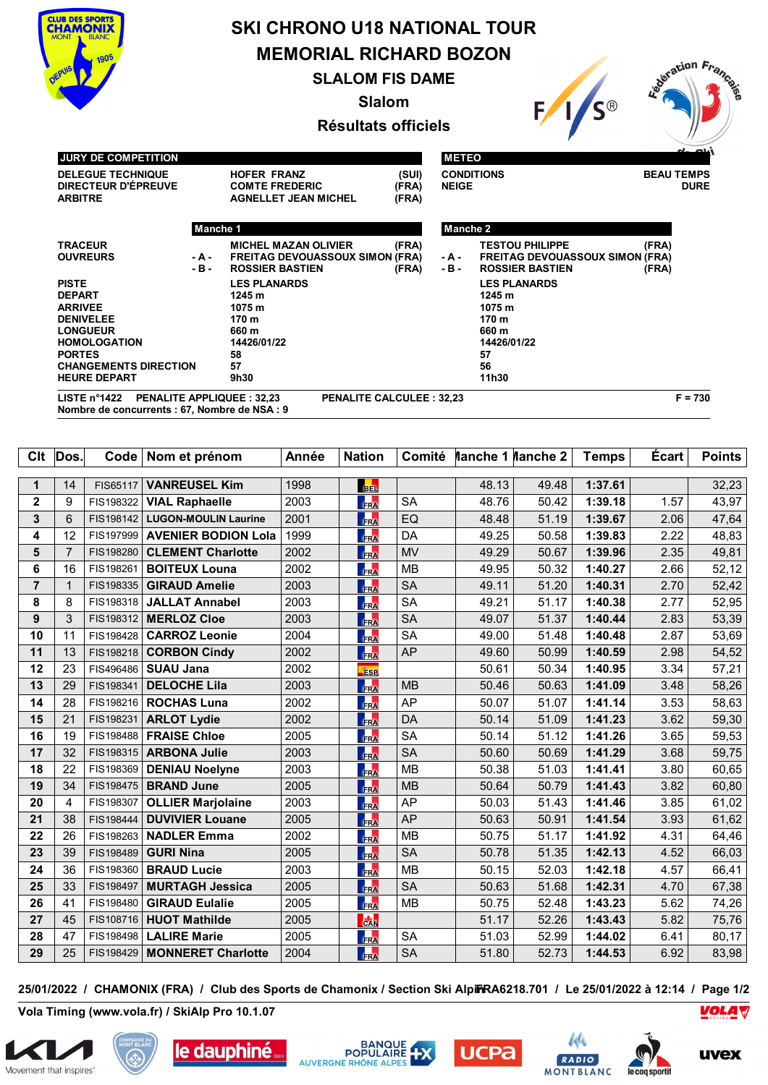

## **SKI CHRONO U18 NATIONAL TOUR MEMORIAL RICHARD BOZON**

**SLALOM FIS DAME**

**Slalom**

**Résultats officiels**



**Nombre de concurrents : 67, Nombre de NSA : 9**

| Clt            | Dos.           |           | Code   Nom et prénom        | Année | <b>Nation</b>   | Comité    | Manche 1 Manche 2 |       | <b>Temps</b> | <b>Ecart</b> | <b>Points</b> |
|----------------|----------------|-----------|-----------------------------|-------|-----------------|-----------|-------------------|-------|--------------|--------------|---------------|
|                |                |           |                             |       |                 |           |                   |       |              |              |               |
| 1              | 14             | FIS65117  | <b>VANREUSEL Kim</b>        | 1998  | <b>BEL</b>      |           | 48.13             | 49.48 | 1:37.61      |              | 32,23         |
| $\mathbf{2}$   | 9              | FIS198322 | <b>VIAL Raphaelle</b>       | 2003  | <b>TRA</b>      | <b>SA</b> | 48.76             | 50.42 | 1:39.18      | 1.57         | 43,97         |
| 3              | 6              | FIS198142 | <b>LUGON-MOULIN Laurine</b> | 2001  | FRA             | EQ        | 48.48             | 51.19 | 1:39.67      | 2.06         | 47,64         |
| 4              | 12             | FIS197999 | <b>AVENIER BODION Lola</b>  | 1999  | FRA             | DA        | 49.25             | 50.58 | 1:39.83      | 2.22         | 48,83         |
| 5              | $\overline{7}$ | FIS198280 | <b>CLEMENT Charlotte</b>    | 2002  | FRA             | <b>MV</b> | 49.29             | 50.67 | 1:39.96      | 2.35         | 49,81         |
| 6              | 16             | FIS198261 | <b>BOITEUX Louna</b>        | 2002  | FRA             | <b>MB</b> | 49.95             | 50.32 | 1:40.27      | 2.66         | 52,12         |
| $\overline{7}$ | 1              | FIS198335 | <b>GIRAUD Amelie</b>        | 2003  | <b>TRA</b>      | <b>SA</b> | 49.11             | 51.20 | 1:40.31      | 2.70         | 52,42         |
| 8              | 8              | FIS198318 | <b>JALLAT Annabel</b>       | 2003  | <b>FRA</b>      | <b>SA</b> | 49.21             | 51.17 | 1:40.38      | 2.77         | 52,95         |
| 9              | 3              | FIS198312 | <b>MERLOZ Cloe</b>          | 2003  | FRA             | <b>SA</b> | 49.07             | 51.37 | 1:40.44      | 2.83         | 53,39         |
| 10             | 11             | FIS198428 | <b>CARROZ Leonie</b>        | 2004  | FRA             | <b>SA</b> | 49.00             | 51.48 | 1:40.48      | 2.87         | 53,69         |
| 11             | 13             | FIS198218 | <b>CORBON Cindy</b>         | 2002  | FRA             | <b>AP</b> | 49.60             | 50.99 | 1:40.59      | 2.98         | 54,52         |
| 12             | 23             | FIS496486 | <b>SUAU Jana</b>            | 2002  | <b>ESP</b>      |           | 50.61             | 50.34 | 1:40.95      | 3.34         | 57,21         |
| 13             | 29             | FIS198341 | <b>DELOCHE Lila</b>         | 2003  | FRA             | <b>MB</b> | 50.46             | 50.63 | 1:41.09      | 3.48         | 58,26         |
| 14             | 28             |           | FIS198216   ROCHAS Luna     | 2002  | <b>FRA</b>      | AP        | 50.07             | 51.07 | 1:41.14      | 3.53         | 58,63         |
| 15             | 21             | FIS198231 | <b>ARLOT Lydie</b>          | 2002  | FRA             | <b>DA</b> | 50.14             | 51.09 | 1:41.23      | 3.62         | 59,30         |
| 16             | 19             | FIS198488 | <b>FRAISE Chloe</b>         | 2005  | <b>FRA</b>      | <b>SA</b> | 50.14             | 51.12 | 1:41.26      | 3.65         | 59,53         |
| 17             | 32             | FIS198315 | <b>ARBONA Julie</b>         | 2003  | <b>TRA</b>      | <b>SA</b> | 50.60             | 50.69 | 1:41.29      | 3.68         | 59,75         |
| 18             | 22             | FIS198369 | <b>DENIAU Noelyne</b>       | 2003  | <b>FRA</b>      | <b>MB</b> | 50.38             | 51.03 | 1:41.41      | 3.80         | 60,65         |
| 19             | 34             | FIS198475 | <b>BRAND June</b>           | 2005  | FRA             | <b>MB</b> | 50.64             | 50.79 | 1:41.43      | 3.82         | 60,80         |
| 20             | 4              | FIS198307 | <b>OLLIER Marjolaine</b>    | 2003  | <b>FRA</b>      | AP        | 50.03             | 51.43 | 1:41.46      | 3.85         | 61,02         |
| 21             | 38             | FIS198444 | <b>DUVIVIER Louane</b>      | 2005  | FRA             | <b>AP</b> | 50.63             | 50.91 | 1:41.54      | 3.93         | 61,62         |
| 22             | 26             | FIS198263 | <b>NADLER Emma</b>          | 2002  | <b>FRA</b>      | <b>MB</b> | 50.75             | 51.17 | 1:41.92      | 4.31         | 64,46         |
| 23             | 39             | FIS198489 | <b>GURI Nina</b>            | 2005  | FRA             | <b>SA</b> | 50.78             | 51.35 | 1:42.13      | 4.52         | 66,03         |
| 24             | 36             | FIS198360 | <b>BRAUD Lucie</b>          | 2003  | FRA             | <b>MB</b> | 50.15             | 52.03 | 1:42.18      | 4.57         | 66,41         |
| 25             | 33             | FIS198497 | <b>MURTAGH Jessica</b>      | 2005  | FRA             | <b>SA</b> | 50.63             | 51.68 | 1:42.31      | 4.70         | 67,38         |
| 26             | 41             | FIS198480 | <b>GIRAUD Eulalie</b>       | 2005  | FRA             | <b>MB</b> | 50.75             | 52.48 | 1:43.23      | 5.62         | 74,26         |
| 27             | 45             | FIS108716 | <b>HUOT Mathilde</b>        | 2005  | $\frac{1}{CAN}$ |           | 51.17             | 52.26 | 1:43.43      | 5.82         | 75,76         |
| 28             | 47             | FIS198498 | <b>LALIRE Marie</b>         | 2005  | <b>IRA</b>      | <b>SA</b> | 51.03             | 52.99 | 1:44.02      | 6.41         | 80,17         |
| 29             | 25             | FIS198429 | <b>MONNERET Charlotte</b>   | 2004  | FRA             | <b>SA</b> | 51.80             | 52.73 | 1:44.53      | 6.92         | 83,98         |

**25/01/2022 / CHAMONIX (FRA) / Club des Sports de Chamonix / Section Ski AlpinFRA6218.701 / Le 25/01/2022 à 12:14 / Page 1/2**

**Vola Timing (www.vola.fr) / SkiAlp Pro 10.1.07**













Lation France